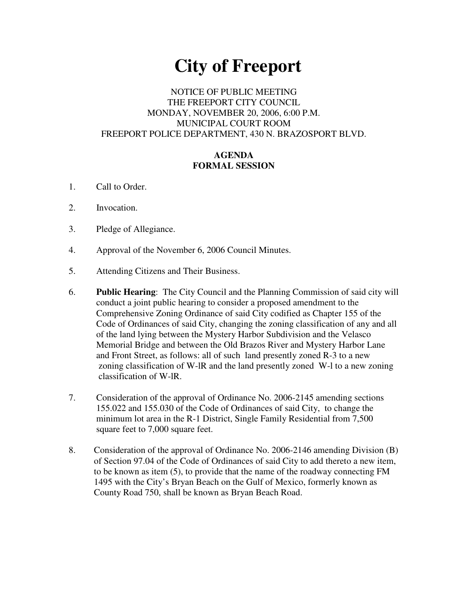# **City of Freeport**

## NOTICE OF PUBLIC MEETING THE FREEPORT CITY COUNCIL MONDAY, NOVEMBER 20, 2006, 6:00 P.M. MUNICIPAL COURT ROOM FREEPORT POLICE DEPARTMENT, 430 N. BRAZOSPORT BLVD.

## **AGENDA FORMAL SESSION**

- 1. Call to Order.
- 2. Invocation.
- 3. Pledge of Allegiance.
- 4. Approval of the November 6, 2006 Council Minutes.
- 5. Attending Citizens and Their Business.
- 6. **Public Hearing**: The City Council and the Planning Commission of said city will conduct a joint public hearing to consider a proposed amendment to the Comprehensive Zoning Ordinance of said City codified as Chapter 155 of the Code of Ordinances of said City, changing the zoning classification of any and all of the land lying between the Mystery Harbor Subdivision and the Velasco Memorial Bridge and between the Old Brazos River and Mystery Harbor Lane and Front Street, as follows: all of such land presently zoned R-3 to a new zoning classification of W-lR and the land presently zoned W-l to a new zoning classification of W-lR.
- 7. Consideration of the approval of Ordinance No. 2006-2145 amending sections 155.022 and 155.030 of the Code of Ordinances of said City, to change the minimum lot area in the R-1 District, Single Family Residential from 7,500 square feet to 7,000 square feet.
- 8. Consideration of the approval of Ordinance No. 2006-2146 amending Division (B) of Section 97.04 of the Code of Ordinances of said City to add thereto a new item, to be known as item (5), to provide that the name of the roadway connecting FM 1495 with the City's Bryan Beach on the Gulf of Mexico, formerly known as County Road 750, shall be known as Bryan Beach Road.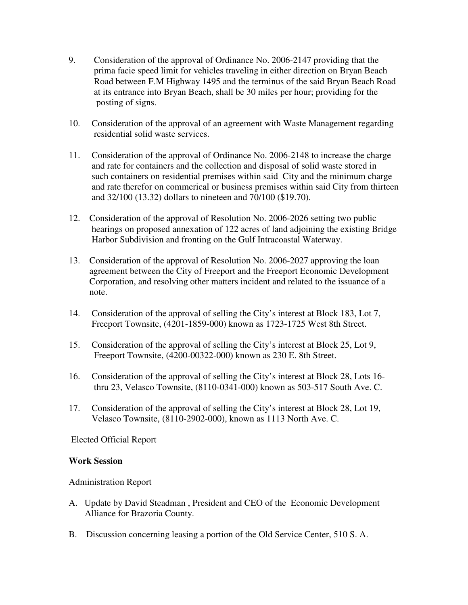- 9. Consideration of the approval of Ordinance No. 2006-2147 providing that the prima facie speed limit for vehicles traveling in either direction on Bryan Beach Road between F.M Highway 1495 and the terminus of the said Bryan Beach Road at its entrance into Bryan Beach, shall be 30 miles per hour; providing for the posting of signs.
- 10. Consideration of the approval of an agreement with Waste Management regarding residential solid waste services.
- 11. Consideration of the approval of Ordinance No. 2006-2148 to increase the charge and rate for containers and the collection and disposal of solid waste stored in such containers on residential premises within said City and the minimum charge and rate therefor on commerical or business premises within said City from thirteen and 32/100 (13.32) dollars to nineteen and 70/100 (\$19.70).
- 12. Consideration of the approval of Resolution No. 2006-2026 setting two public hearings on proposed annexation of 122 acres of land adjoining the existing Bridge Harbor Subdivision and fronting on the Gulf Intracoastal Waterway.
- 13. Consideration of the approval of Resolution No. 2006-2027 approving the loan agreement between the City of Freeport and the Freeport Economic Development Corporation, and resolving other matters incident and related to the issuance of a note.
- 14. Consideration of the approval of selling the City's interest at Block 183, Lot 7, Freeport Townsite, (4201-1859-000) known as 1723-1725 West 8th Street.
- 15. Consideration of the approval of selling the City's interest at Block 25, Lot 9, Freeport Townsite, (4200-00322-000) known as 230 E. 8th Street.
- 16. Consideration of the approval of selling the City's interest at Block 28, Lots 16 thru 23, Velasco Townsite, (8110-0341-000) known as 503-517 South Ave. C.
- 17. Consideration of the approval of selling the City's interest at Block 28, Lot 19, Velasco Townsite, (8110-2902-000), known as 1113 North Ave. C.

Elected Official Report

#### **Work Session**

Administration Report

- A. Update by David Steadman , President and CEO of the Economic Development Alliance for Brazoria County.
- B. Discussion concerning leasing a portion of the Old Service Center, 510 S. A.